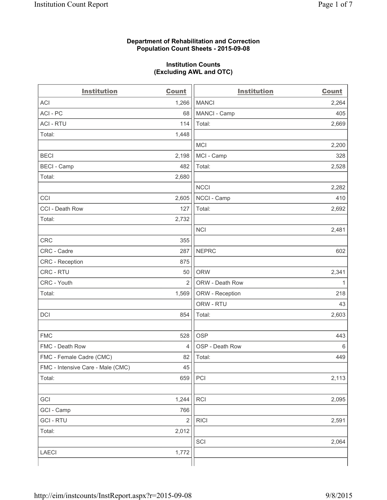## **Department of Rehabilitation and Correction Population Count Sheets - 2015-09-08**

## **Institution Counts (Excluding AWL and OTC)**

| <b>Institution</b>                | <b>Count</b>   | <b>Institution</b> | <b>Count</b> |
|-----------------------------------|----------------|--------------------|--------------|
| <b>ACI</b>                        | 1,266          | <b>MANCI</b>       | 2,264        |
| ACI-PC                            | 68             | MANCI - Camp       | 405          |
| <b>ACI - RTU</b>                  | 114            | Total:             | 2,669        |
| Total:                            | 1,448          |                    |              |
|                                   |                | <b>MCI</b>         | 2,200        |
| <b>BECI</b>                       | 2,198          | MCI - Camp         | 328          |
| <b>BECI</b> - Camp                | 482            | Total:             | 2,528        |
| Total:                            | 2,680          |                    |              |
|                                   |                | <b>NCCI</b>        | 2,282        |
| CCI                               | 2,605          | NCCI - Camp        | 410          |
| CCI - Death Row                   | 127            | Total:             | 2,692        |
| Total:                            | 2,732          |                    |              |
|                                   |                | <b>NCI</b>         | 2,481        |
| CRC                               | 355            |                    |              |
| CRC - Cadre                       | 287            | <b>NEPRC</b>       | 602          |
| CRC - Reception                   | 875            |                    |              |
| CRC - RTU                         | 50             | <b>ORW</b>         | 2,341        |
| CRC - Youth                       | $\overline{2}$ | ORW - Death Row    | 1            |
| Total:                            | 1,569          | ORW - Reception    | 218          |
|                                   |                | ORW - RTU          | 43           |
| DCI                               | 854            | Total:             | 2,603        |
|                                   |                |                    |              |
| <b>FMC</b>                        | 528            | <b>OSP</b>         | 443          |
| FMC - Death Row                   | $\overline{4}$ | OSP - Death Row    | 6            |
| FMC - Female Cadre (CMC)          | 82             | Total:             | 449          |
| FMC - Intensive Care - Male (CMC) | 45             |                    |              |
| Total:                            | 659            | PCI                | 2,113        |
|                                   |                |                    |              |
| GCI                               | 1,244          | RCI                | 2,095        |
| GCI - Camp                        | 766            |                    |              |
| <b>GCI-RTU</b>                    | $\sqrt{2}$     | <b>RICI</b>        | 2,591        |
| Total:                            | 2,012          |                    |              |
|                                   |                | SCI                | 2,064        |
| LAECI                             | 1,772          |                    |              |
|                                   |                |                    |              |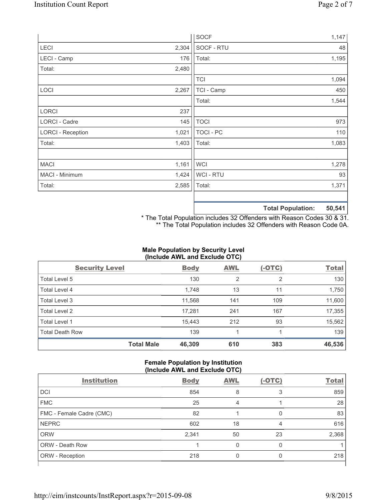|                          |       | <b>SOCF</b> | 1,147                       |
|--------------------------|-------|-------------|-----------------------------|
| LECI                     | 2,304 | SOCF - RTU  | 48                          |
| LECI - Camp              | 176   | Total:      | 1,195                       |
| Total:                   | 2,480 |             |                             |
|                          |       | <b>TCI</b>  | 1,094                       |
| LOCI                     | 2,267 | TCI - Camp  | 450                         |
|                          |       | Total:      | 1,544                       |
| <b>LORCI</b>             | 237   |             |                             |
| LORCI - Cadre            | 145   | <b>TOCI</b> | 973                         |
| <b>LORCI - Reception</b> | 1,021 | TOCI - PC   | 110                         |
| Total:                   | 1,403 | Total:      | 1,083                       |
|                          |       |             |                             |
| <b>MACI</b>              | 1,161 | <b>WCI</b>  | 1,278                       |
| MACI - Minimum           | 1,424 | WCI - RTU   | 93                          |
| Total:                   | 2,585 | Total:      | 1,371                       |
|                          |       |             |                             |
|                          |       |             | EN EA1<br>Total Dopulation: |

**Total Population: 50,541**

\* The Total Population includes 32 Offenders with Reason Codes 30 & 31. \*\* The Total Population includes 32 Offenders with Reason Code 0A.

# **Male Population by Security Level (Include AWL and Exclude OTC)**

| <b>Security Level</b>  |                   | <b>Body</b> | <b>AWL</b> | $(-OTC)$       | <b>Total</b> |
|------------------------|-------------------|-------------|------------|----------------|--------------|
| Total Level 5          |                   | 130         | 2          | $\overline{2}$ | 130          |
| Total Level 4          |                   | 1,748       | 13         | 11             | 1,750        |
| Total Level 3          |                   | 11,568      | 141        | 109            | 11,600       |
| Total Level 2          |                   | 17,281      | 241        | 167            | 17,355       |
| <b>Total Level 1</b>   |                   | 15,443      | 212        | 93             | 15,562       |
| <b>Total Death Row</b> |                   | 139         |            |                | 139          |
|                        | <b>Total Male</b> | 46,309      | 610        | 383            | 46,536       |

#### **Female Population by Institution (Include AWL and Exclude OTC)**

| <b>Institution</b>       | <b>Body</b> | <b>AWL</b> | $(-OTC)$ | <b>Total</b> |
|--------------------------|-------------|------------|----------|--------------|
| <b>DCI</b>               | 854         | 8          | 3        | 859          |
| <b>FMC</b>               | 25          | 4          |          | 28           |
| FMC - Female Cadre (CMC) | 82          |            | 0        | 83           |
| <b>NEPRC</b>             | 602         | 18         | 4        | 616          |
| <b>ORW</b>               | 2,341       | 50         | 23       | 2,368        |
| <b>ORW - Death Row</b>   |             | U          | 0        |              |
| ORW - Reception          | 218         |            |          | 218          |
|                          |             |            |          |              |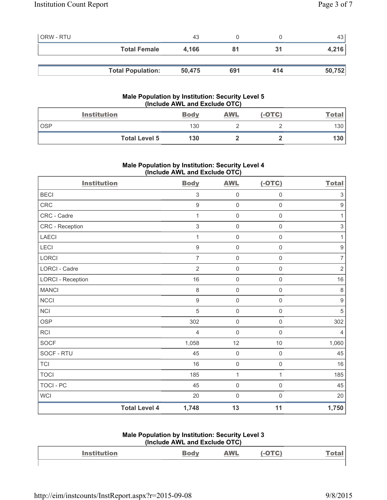| <b>ORW - RTU</b> |                          | 43     |     |     | 43 l   |
|------------------|--------------------------|--------|-----|-----|--------|
|                  | <b>Total Female</b>      | 4,166  |     | 31  | 4,216  |
|                  |                          |        |     |     |        |
|                  | <b>Total Population:</b> | 50,475 | 691 | 414 | 50,752 |

## **Male Population by Institution: Security Level 5 (Include AWL and Exclude OTC)**

|       | <b>Institution</b>   | <b>Body</b> | AWL | $(-OTC)$ | <u>Total</u> |
|-------|----------------------|-------------|-----|----------|--------------|
| . OSP |                      | 130         |     |          | 130          |
|       | <b>Total Level 5</b> | 130         |     |          | 7 J U        |

# **Male Population by Institution: Security Level 4 (Include AWL and Exclude OTC)**

| <b>Institution</b>       |                      | <b>Body</b>    | <b>AWL</b>          | $(-OTC)$            | <b>Total</b>              |
|--------------------------|----------------------|----------------|---------------------|---------------------|---------------------------|
| <b>BECI</b>              |                      | $\sqrt{3}$     | $\mathsf{0}$        | $\mathsf{0}$        | $\ensuremath{\mathsf{3}}$ |
| CRC                      |                      | $\mathsf g$    | $\mathsf{O}\xspace$ | $\mathsf{O}\xspace$ | $\boldsymbol{9}$          |
| CRC - Cadre              |                      | 1              | $\mathsf{O}\xspace$ | $\mathbf 0$         | $\mathbf{1}$              |
| CRC - Reception          |                      | $\sqrt{3}$     | $\mathsf{O}\xspace$ | $\mathsf{O}\xspace$ | $\ensuremath{\mathsf{3}}$ |
| LAECI                    |                      | 1              | $\mathsf{O}\xspace$ | $\mathbf 0$         | $\mathbf{1}$              |
| LECI                     |                      | $9$            | $\mathsf{O}\xspace$ | $\mathsf 0$         | $\boldsymbol{9}$          |
| LORCI                    |                      | $\overline{7}$ | $\mathsf{O}\xspace$ | 0                   | $\boldsymbol{7}$          |
| <b>LORCI - Cadre</b>     |                      | $\overline{2}$ | $\mathsf{O}\xspace$ | $\mathsf{O}\xspace$ | $\overline{2}$            |
| <b>LORCI - Reception</b> |                      | 16             | $\mathsf{O}\xspace$ | $\mathsf{O}\xspace$ | 16                        |
| <b>MANCI</b>             |                      | 8              | $\mathsf{O}\xspace$ | $\mathsf{O}\xspace$ | $\,8\,$                   |
| NCCI                     |                      | $9$            | $\mathsf{O}\xspace$ | $\mathbf 0$         | $\boldsymbol{9}$          |
| <b>NCI</b>               |                      | 5              | $\mathsf{O}\xspace$ | $\mathsf 0$         | 5                         |
| <b>OSP</b>               |                      | 302            | $\mathsf{O}\xspace$ | $\mathsf{O}\xspace$ | 302                       |
| <b>RCI</b>               |                      | $\overline{4}$ | 0                   | $\mathbf 0$         | $\overline{4}$            |
| <b>SOCF</b>              |                      | 1,058          | 12                  | 10                  | 1,060                     |
| SOCF - RTU               |                      | 45             | $\mathsf{O}\xspace$ | $\mathsf 0$         | 45                        |
| <b>TCI</b>               |                      | 16             | $\mathsf{O}\xspace$ | $\mathbf 0$         | 16                        |
| <b>TOCI</b>              |                      | 185            | $\mathbf{1}$        | $\mathbf{1}$        | 185                       |
| <b>TOCI - PC</b>         |                      | 45             | $\mathsf{O}\xspace$ | $\mathsf{O}\xspace$ | 45                        |
| <b>WCI</b>               |                      | 20             | $\mathsf{O}\xspace$ | $\boldsymbol{0}$    | 20                        |
|                          | <b>Total Level 4</b> | 1,748          | 13                  | 11                  | 1,750                     |

#### **Male Population by Institution: Security Level 3 (Include AWL and Exclude OTC)**

|                    | $(1101000 \text{ A})$ |            |              |
|--------------------|-----------------------|------------|--------------|
| <b>Institution</b> |                       | <b>AWL</b> | <u>Total</u> |
|                    |                       |            |              |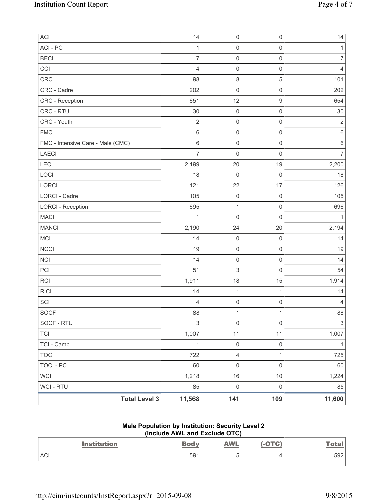| ACI                               | 14             | $\mathsf{O}\xspace$       | $\mathsf{O}\xspace$ | 14               |
|-----------------------------------|----------------|---------------------------|---------------------|------------------|
| ACI - PC                          | $\mathbf{1}$   | $\mathbf 0$               | $\mathsf{O}\xspace$ | $\mathbf{1}$     |
| <b>BECI</b>                       | $\overline{7}$ | $\mathsf 0$               | $\mathsf 0$         | $\boldsymbol{7}$ |
| CCI                               | $\overline{4}$ | $\mathsf{O}\xspace$       | $\mathsf 0$         | $\overline{4}$   |
| CRC                               | 98             | $\,8\,$                   | $\,$ 5 $\,$         | 101              |
| CRC - Cadre                       | 202            | $\mathsf{O}\xspace$       | $\mathsf{O}\xspace$ | 202              |
| <b>CRC</b> - Reception            | 651            | 12                        | 9                   | 654              |
| CRC - RTU                         | 30             | $\mathsf 0$               | $\mathsf{O}\xspace$ | $30\,$           |
| CRC - Youth                       | $\overline{2}$ | $\mathsf{O}\xspace$       | $\mathsf 0$         | $\sqrt{2}$       |
| <b>FMC</b>                        | $\,6\,$        | $\mathsf 0$               | $\mathsf{O}\xspace$ | $\,6\,$          |
| FMC - Intensive Care - Male (CMC) | $\,6\,$        | $\mathsf{O}\xspace$       | $\mathsf{O}\xspace$ | $\,6\,$          |
| LAECI                             | $\overline{7}$ | $\mathsf{O}\xspace$       | $\mathsf{O}\xspace$ | $\overline{7}$   |
| <b>LECI</b>                       | 2,199          | 20                        | 19                  | 2,200            |
| LOCI                              | 18             | $\mathbf 0$               | $\mathsf{O}\xspace$ | 18               |
| <b>LORCI</b>                      | 121            | 22                        | 17                  | 126              |
| <b>LORCI - Cadre</b>              | 105            | $\mathsf{O}\xspace$       | $\mathsf{O}\xspace$ | 105              |
| <b>LORCI - Reception</b>          | 695            | $\mathbf{1}$              | $\mathsf{O}\xspace$ | 696              |
| <b>MACI</b>                       | 1              | $\mathsf{O}\xspace$       | $\mathsf 0$         | $\mathbf{1}$     |
| <b>MANCI</b>                      | 2,190          | 24                        | 20                  | 2,194            |
| MCI                               | 14             | $\mathsf{O}\xspace$       | $\mathsf 0$         | 14               |
| <b>NCCI</b>                       | 19             | $\mathsf{O}\xspace$       | $\mathsf 0$         | 19               |
| <b>NCI</b>                        | 14             | $\mathsf 0$               | $\mathsf{O}\xspace$ | 14               |
| PCI                               | 51             | $\ensuremath{\mathsf{3}}$ | $\mathsf 0$         | 54               |
| RCI                               | 1,911          | 18                        | 15                  | 1,914            |
| <b>RICI</b>                       | 14             | $\mathbf{1}$              | $\mathbf{1}$        | 14               |
| SCI                               | $\overline{4}$ | $\mathsf{O}\xspace$       | $\mathsf{O}\xspace$ | 4                |
| SOCF                              | 88             | $\mathbf{1}$              | $\mathbf{1}$        | 88               |
| SOCF - RTU                        | $\mathfrak{S}$ | $\mathsf 0$               | $\mathsf{O}\xspace$ | $\sqrt{3}$       |
| <b>TCI</b>                        | 1,007          | 11                        | 11                  | 1,007            |
| TCI - Camp                        | $\mathbf{1}$   | $\mathsf{O}\xspace$       | $\mathsf{O}\xspace$ | $\mathbf{1}$     |
| <b>TOCI</b>                       | 722            | $\overline{4}$            | $\mathbf{1}$        | 725              |
| <b>TOCI - PC</b>                  | 60             | $\mathsf 0$               | $\mathsf{O}\xspace$ | 60               |
| <b>WCI</b>                        | 1,218          | $16$                      | $10\,$              | 1,224            |
| <b>WCI - RTU</b>                  | 85             | $\mathsf{O}\xspace$       | $\mathsf{O}\xspace$ | 85               |
| <b>Total Level 3</b>              | 11,568         | 141                       | 109                 | 11,600           |

#### **Male Population by Institution: Security Level 2 (Include AWL and Exclude OTC)**

| <b>Institution</b> | <b>Body</b> | <b>AWL</b> | <b>(-OTC)</b> | <u>Total</u> |
|--------------------|-------------|------------|---------------|--------------|
| <b>ACI</b>         | 591         | u          |               | 592          |
|                    |             |            |               |              |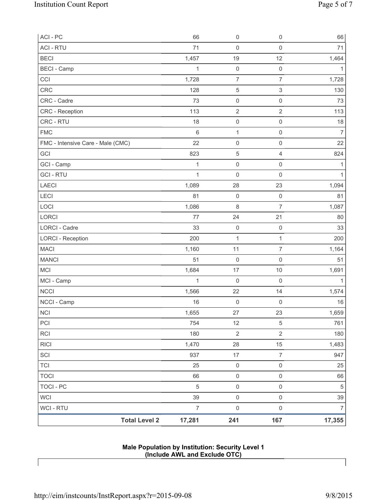| <b>Total Level 2</b>              | 17,281         | 241                                   | 167                                   | 17,355         |
|-----------------------------------|----------------|---------------------------------------|---------------------------------------|----------------|
| WCI - RTU                         | $\overline{7}$ | $\mathsf{O}\xspace$                   | $\mathsf 0$                           | $\overline{7}$ |
| <b>WCI</b>                        | 39             | $\mathsf{O}\xspace$                   | $\mathsf 0$                           | 39             |
| <b>TOCI - PC</b>                  | $\sqrt{5}$     | $\mathsf{O}\xspace$                   | $\mathsf 0$                           | $\sqrt{5}$     |
| <b>TOCI</b>                       | 66             | $\mathsf{O}\xspace$                   | $\mathsf 0$                           | 66             |
| <b>TCI</b>                        | 25             | $\mathsf{O}\xspace$                   | $\mathsf 0$                           | 25             |
| SCI                               | 937            | $17\,$                                | $\overline{7}$                        | 947            |
| <b>RICI</b>                       | 1,470          | 28                                    | 15                                    | 1,483          |
| RCI                               | 180            | $\overline{2}$                        | $\overline{2}$                        | 180            |
| PCI                               | 754            | 12                                    | 5                                     | 761            |
| $\sf NC I$                        | 1,655          | 27                                    | 23                                    | 1,659          |
| NCCI - Camp                       | 16             | 0                                     | $\mathsf 0$                           | 16             |
| <b>NCCI</b>                       | 1,566          | 22                                    | 14                                    | 1,574          |
| MCI - Camp                        | $\mathbf 1$    | $\mathsf{O}\xspace$                   | $\mathsf 0$                           | 1              |
| <b>MCI</b>                        | 1,684          | 17                                    | 10                                    | 1,691          |
| <b>MANCI</b>                      | 51             | $\mathsf{O}\xspace$                   | $\mathsf{O}\xspace$                   | 51             |
| <b>MACI</b>                       | 1,160          | 11                                    | $\boldsymbol{7}$                      | 1,164          |
| <b>LORCI - Reception</b>          | 200            | $\mathbf{1}$                          | $\mathbf{1}$                          | 200            |
| <b>LORCI - Cadre</b>              | 33             | $\mathsf 0$                           | $\mathsf{O}\xspace$                   | 33             |
| LORCI                             | 77             | 24                                    | 21                                    | 80             |
| LOCI                              | 1,086          | 8                                     | $\overline{7}$                        | 1,087          |
| LECI                              | 81             | 0                                     | $\mathsf{O}\xspace$                   | 81             |
| <b>LAECI</b>                      | 1,089          | 28                                    | 23                                    | 1,094          |
| <b>GCI-RTU</b>                    | $\mathbf{1}$   | $\mathsf{O}\xspace$                   | $\mathsf 0$                           | 1              |
| GCI - Camp                        | 1              | $\mathsf{O}\xspace$                   | $\mathsf 0$                           | 1              |
| GCI                               | 823            | 5                                     | $\overline{4}$                        | 824            |
| FMC - Intensive Care - Male (CMC) | 22             | 0                                     | $\mathsf{O}\xspace$                   | 22             |
| <b>FMC</b>                        | $\,6\,$        | $\mathbf{1}$                          | $\mathsf{O}\xspace$                   | $\overline{7}$ |
| CRC - RTU                         | 18             | $\mathsf{O}\xspace$                   | $\mathsf{O}\xspace$                   | 18             |
| <b>CRC</b> - Reception            | 113            | $\sqrt{2}$                            | $\sqrt{2}$                            | 113            |
| CRC - Cadre                       | 73             | $\mathsf{O}\xspace$                   | $\mathsf{O}\xspace$                   | 73             |
| CCI<br>CRC                        | 1,728<br>128   | $\,$ 5 $\,$                           | $\ensuremath{\mathsf{3}}$             | 1,728<br>130   |
| <b>BECI</b> - Camp                | $\mathbf{1}$   | $\mathsf{O}\xspace$<br>$\overline{7}$ | $\mathsf{O}\xspace$<br>$\overline{7}$ | 1              |
| <b>BECI</b>                       | 1,457          | 19                                    | 12                                    | 1,464          |
| <b>ACI - RTU</b>                  | 71             | $\mathsf 0$                           | $\mathsf 0$                           | 71             |
| ACI - PC                          | 66             | $\mathsf{O}\xspace$                   | $\mathsf{O}\xspace$                   | 66             |
|                                   |                |                                       |                                       |                |

**Male Population by Institution: Security Level 1 (Include AWL and Exclude OTC)**